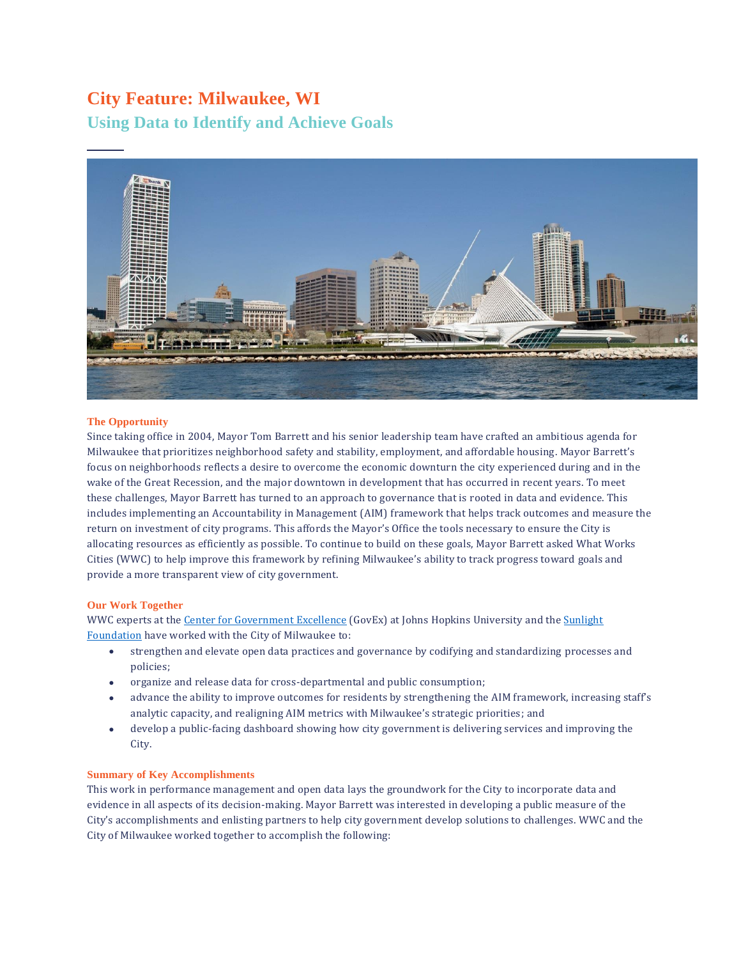# **City Feature: Milwaukee, WI**

**Using Data to Identify and Achieve Goals**



# **The Opportunity**

Since taking office in 2004, Mayor Tom Barrett and his senior leadership team have crafted an ambitious agenda for Milwaukee that prioritizes neighborhood safety and stability, employment, and affordable housing. Mayor Barrett's focus on neighborhoods reflects a desire to overcome the economic downturn the city experienced during and in the wake of the Great Recession, and the major downtown in development that has occurred in recent years. To meet these challenges, Mayor Barrett has turned to an approach to governance that is rooted in data and evidence. This includes implementing an Accountability in Management (AIM) framework that helps track outcomes and measure the return on investment of city programs. This affords the Mayor's Office the tools necessary to ensure the City is allocating resources as efficiently as possible. To continue to build on these goals, Mayor Barrett asked What Works Cities (WWC) to help improve this framework by refining Milwaukee's ability to track progress toward goals and provide a more transparent view of city government.

## **Our Work Together**

WWC experts at the [Center for Government Excellence](https://govex.jhu.edu/) (GovEx) at Johns Hopkins University and the Sunlight [Foundation](https://sunlightfoundation.com/) have worked with the City of Milwaukee to:

- strengthen and elevate open data practices and governance by codifying and standardizing processes and policies;
- organize and release data for cross-departmental and public consumption;
- advance the ability to improve outcomes for residents by strengthening the AIM framework, increasing staff's analytic capacity, and realigning AIM metrics with Milwaukee's strategic priorities; and
- develop a public-facing dashboard showing how city government is delivering services and improving the City.

## **Summary of Key Accomplishments**

This work in performance management and open data lays the groundwork for the City to incorporate data and evidence in all aspects of its decision-making. Mayor Barrett was interested in developing a public measure of the City's accomplishments and enlisting partners to help city government develop solutions to challenges. WWC and the City of Milwaukee worked together to accomplish the following: